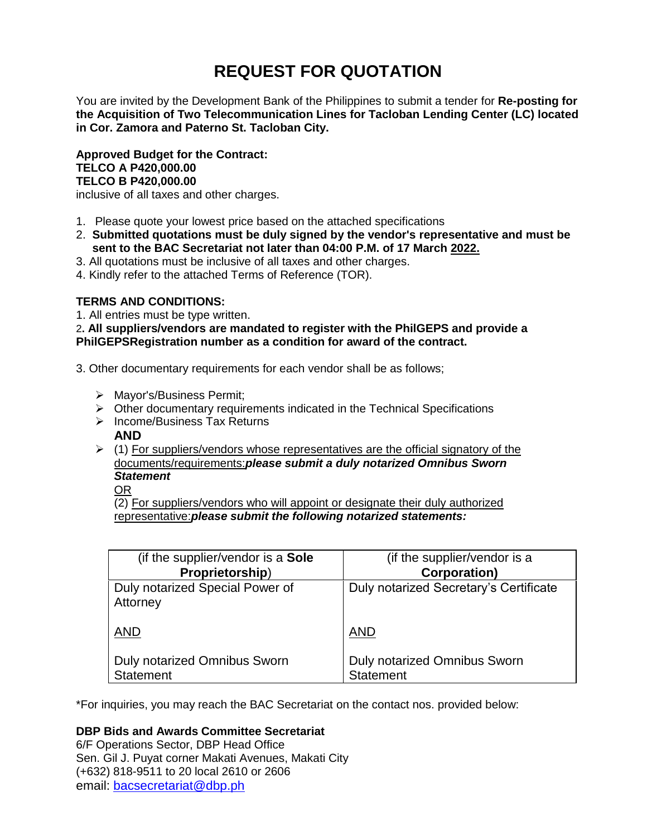# **REQUEST FOR QUOTATION**

You are invited by the Development Bank of the Philippines to submit a tender for **Re-posting for the Acquisition of Two Telecommunication Lines for Tacloban Lending Center (LC) located in Cor. Zamora and Paterno St. Tacloban City.**

**Approved Budget for the Contract: TELCO A P420,000.00 TELCO B P420,000.00**

inclusive of all taxes and other charges.

- 1. Please quote your lowest price based on the attached specifications
- 2. **Submitted quotations must be duly signed by the vendor's representative and must be sent to the BAC Secretariat not later than 04:00 P.M. of 17 March 2022.**
- 3. All quotations must be inclusive of all taxes and other charges.
- 4. Kindly refer to the attached Terms of Reference (TOR).

# **TERMS AND CONDITIONS:**

1. All entries must be type written.

2**. All suppliers/vendors are mandated to register with the PhilGEPS and provide a PhilGEPSRegistration number as a condition for award of the contract.**

- 3. Other documentary requirements for each vendor shall be as follows;
	- > Mayor's/Business Permit;
	- $\triangleright$  Other documentary requirements indicated in the Technical Specifications
	- $\triangleright$  Income/Business Tax Returns
		- **AND**
	- $\geq$  (1) For suppliers/vendors whose representatives are the official signatory of the documents/requirements:*please submit a duly notarized Omnibus Sworn Statement*

OR

(2) For suppliers/vendors who will appoint or designate their duly authorized representative:*please submit the following notarized statements:*

| (if the supplier/vendor is a Sole           | (if the supplier/vendor is a           |
|---------------------------------------------|----------------------------------------|
| Proprietorship)                             | <b>Corporation</b> )                   |
| Duly notarized Special Power of<br>Attorney | Duly notarized Secretary's Certificate |
| <b>AND</b>                                  | <b>AND</b>                             |
| <b>Duly notarized Omnibus Sworn</b>         | <b>Duly notarized Omnibus Sworn</b>    |
| <b>Statement</b>                            | <b>Statement</b>                       |

\*For inquiries, you may reach the BAC Secretariat on the contact nos. provided below:

# **DBP Bids and Awards Committee Secretariat**

6/F Operations Sector, DBP Head Office Sen. Gil J. Puyat corner Makati Avenues, Makati City (+632) 818-9511 to 20 local 2610 or 2606 email: [bacsecretariat@dbp.ph](mailto:bacsecretariat@dbp.ph)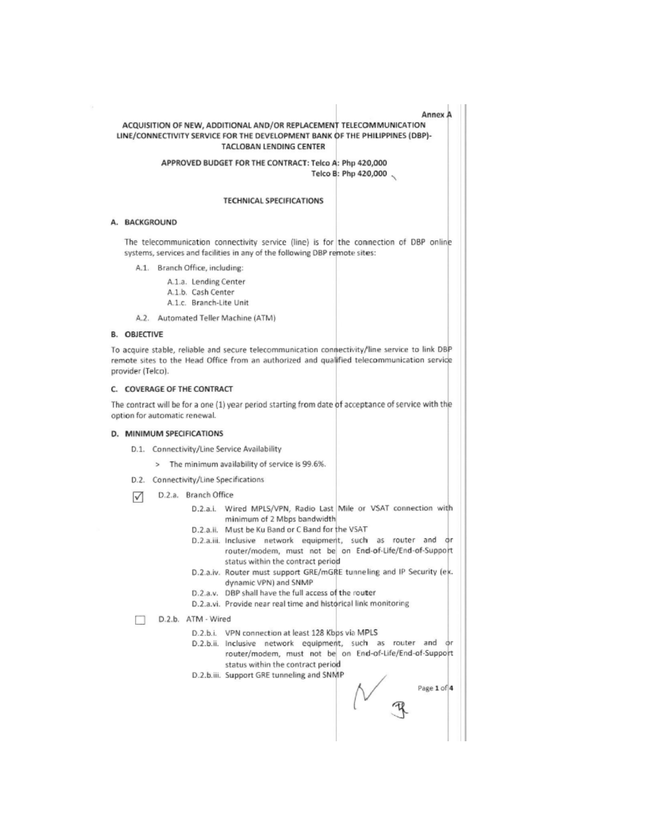#### Annex A

## ACQUISITION OF NEW, ADDITIONAL AND/OR REPLACEMENT TELECOMMUNICATION LINE/CONNECTIVITY SERVICE FOR THE DEVELOPMENT BANK OF THE PHILIPPINES (DBP)-TACLOBAN LENDING CENTER

APPROVED BUDGET FOR THE CONTRACT: Telco A: Php 420,000 Telco B: Php 420,000

#### **TECHNICAL SPECIFICATIONS**

#### A. BACKGROUND

The telecommunication connectivity service (line) is for the connection of DBP online systems, services and facilities in any of the following DBP remote sites:

A.1. Branch Office, including:

A.1.a. Lending Center

- A.1.b. Cash Center
- A.1.c. Branch-Lite Unit
- A.2. Automated Teller Machine (ATM)

#### **B. OBJECTIVE**

To acquire stable, reliable and secure telecommunication connectivity/line service to link DBP remote sites to the Head Office from an authorized and qualified telecommunication service provider (Telco).

## C. COVERAGE OF THE CONTRACT

The contract will be for a one (1) year period starting from date of acceptance of service with the option for automatic renewal.

### D. MINIMUM SPECIFICATIONS

- D.1. Connectivity/Line Service Availability
	- > The minimum availability of service is 99.6%.
- D.2. Connectivity/Line Specifications
- D.2.a. Branch Office ☑
	- D.2.a.i. Wired MPLS/VPN, Radio Last Mile or VSAT connection with minimum of 2 Mbps bandwidth
	- D.2.a.ii. Must be Ku Band or C Band for the VSAT
	- D.2.a.iii. Inclusive network equipment, such as router and or router/modem, must not be on End-of-Life/End-of-Support status within the contract period
	- D.2.a.iv. Router must support GRE/mGRE tunneling and IP Security (ex. dynamic VPN) and SNMP
	- D.2.a.v. DBP shall have the full access of the router
	- D.2.a.vi. Provide near real time and historical link monitoring

D.2.b. ATM - Wired п

- D.2.b.i. VPN connection at least 128 Kbps via MPLS
- D.2.b.ii. Inclusive network equipment, such as router and фr router/modem, must not be on End-of-Life/End-of-Support status within the contract period
- D.2.b.iii. Support GRE tunneling and SNMP

Page 1 of 4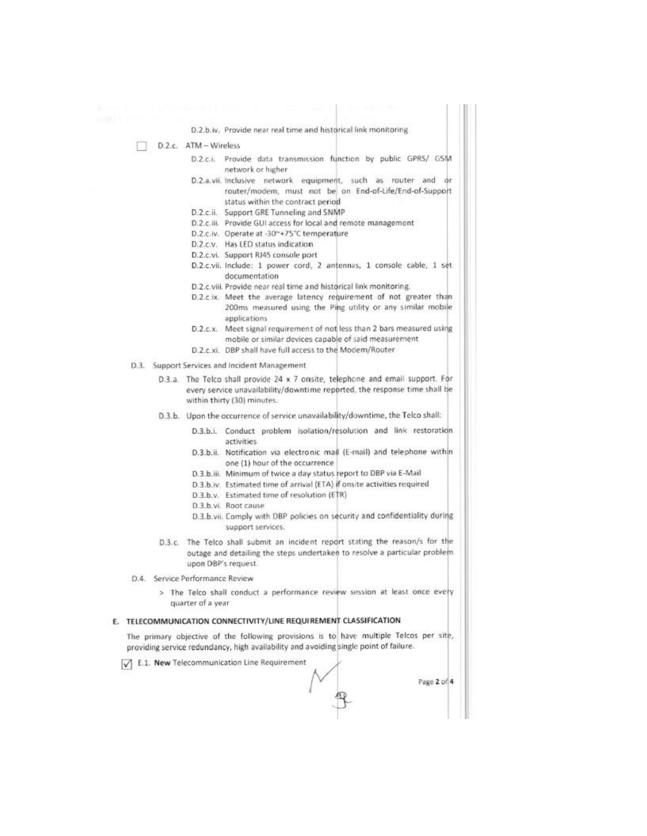D.2.b.iv. Provide near real time and historical link monitoring

- D.2.c. ATM Wireless
	- D.2.c.i. Provide data transmission function by public GPRS/ GSM network or higher
	- D.2.a.vii. Inclusive network equipment, such as router and or router/modem, must not be on End-of-Life/End-of-Support status within the contract period
	- D.2.c.ii. Support GRE Tunneling and SNMP
	- D.2.c.iii. Provide GUI access for local and remote management
	- D.2.c.iv. Operate at -30~+75°C temperature
	- D.2.c.v. Has LED status indication
	- D.2.c.vi. Support RJ45 console port
	- D.2.c.vii. Include: 1 power cord. 2 antennas, 1 console cable, 1 set documentation
	- D.2.c.viii. Provide near real time and historical link monitoring.
	- D.2.c.ix. Meet the average latency requirement of not greater than 200ms measured using the Ping utility or any similar mobile applications
	- D.2.c.x. Meet signal requirement of not less than 2 bars measured using mobile or similar devices capable of said measurement
	- D.2.c.xi. DBP shall have full access to the Modem/Router
- D.3. Support Services and Incident Management
	- D.3.a. The Telco shall provide 24 x 7 onsite, telephone and email support. For every service unavailability/downtime reported, the response time shall be within thirty (30) minutes.
	- D.3.b. Upon the occurrence of service unavailability/downtime, the Telco shall:
		- D.3.b.i. Conduct problem isolation/resolution and link restoration activities
		- D.3.b.ii. Notification via electronic mail (E-mail) and telephone within one (1) hour of the occurrence
		- D.3.b.iii. Minimum of twice a day status report to DBP via E-Mail
		- D.3.b.iv. Estimated time of arrival (ETA) if onsite activities required
		- D.3.b.v. Estimated time of resolution (ETR)
		- D.3.b.vi. Root cause
		- D.3.b.vii. Comply with DBP policies on security and confidentiality during support services.
	- D.3.c. The Telco shall submit an incident report stating the reason/s for the outage and detailing the steps undertaken to resolve a particular problem upon DBP's request.
- 0.4 Service Performance Review
	- > The Telco shall conduct a performance review session at least once every quarter of a year

#### E. TELECOMMUNICATION CONNECTIVITY/LINE REQUIREMENT CLASSIFICATION

The primary objective of the following provisions is to have multiple Telcos per site, providing service redundancy, high availability and avoiding single point of failure.

T E.1. New Telecommunication Line Requirement

Page 2 of 4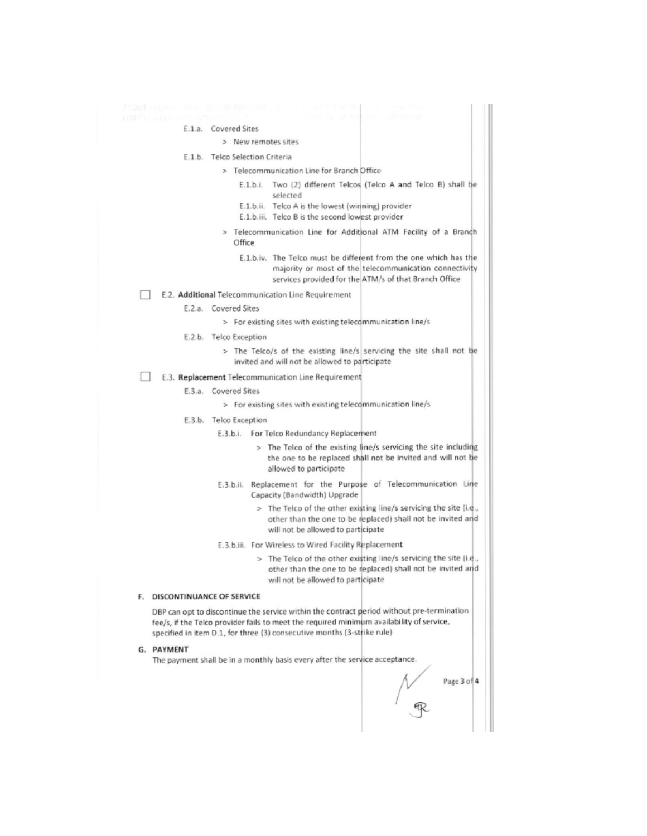E.1.a. Covered Sites > New remotes sites E.1.b. Telco Selection Criteria > Telecommunication Line for Branch Office E.1.b.i. Two (2) different Telcos (Telco A and Telco B) shall be selected E.1.b.ii. Telco A is the lowest (winning) provider E.1.b.iii. Telco B is the second lowest provider Telecommunication Line for Additional ATM Facility of a Branch Office E.1.b.iv. The Telco must be different from the one which has the majority or most of the telecommunication connectivity services provided for the ATM/s of that Branch Office E.2. Additional Telecommunication Line Requirement E.2.a. Covered Sites > For existing sites with existing telecommunication line/s E.2.b. Telco Exception > The Telco/s of the existing line/s servicing the site shall not be invited and will not be allowed to participate п E.3. Replacement Telecommunication Line Requirement E.3.a. Covered Sites > For existing sites with existing telecommunication line/s E.3.b. Telco Exception E.3.b.i. For Telco Redundancy Replacement > The Telco of the existing line/s servicing the site including the one to be replaced shall not be invited and will not be allowed to participate E.3.b.ii. Replacement for the Purpose of Telecommunication Line Capacity (Bandwidth) Upgrade > The Telco of the other existing line/s servicing the site (i.e., other than the one to be replaced) shall not be invited and will not be allowed to participate E.3.b.iii. For Wireless to Wired Facility Replacement > The Telco of the other existing line/s servicing the site (i.e., other than the one to be replaced) shall not be invited and will not be allowed to participate F. DISCONTINUANCE OF SERVICE DBP can opt to discontinue the service within the contract period without pre-termination fee/s, if the Telco provider fails to meet the required minimum availability of service, specified in item D.1, for three (3) consecutive months (3-strike rule) G. PAYMENT The payment shall be in a monthly basis every after the service acceptance. Page 3 of 4